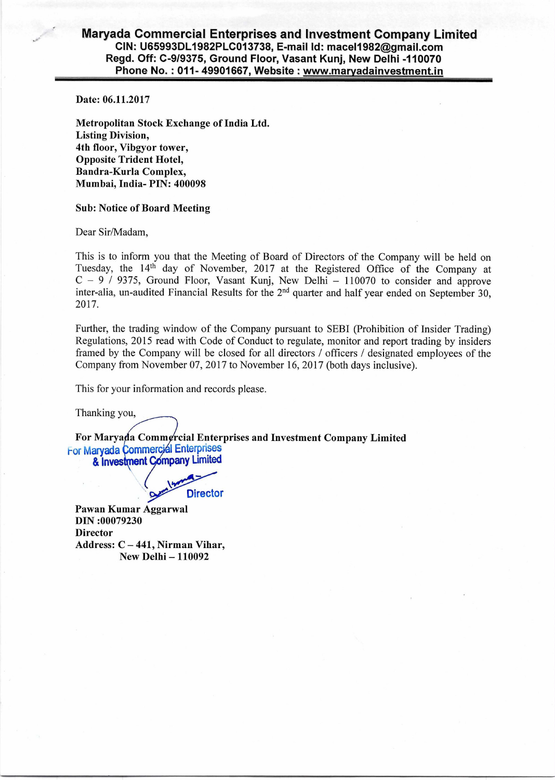## **Maryada Commercial Enterprises and Investment Company Limited CIN: U65993DL1982PLC013738, E-mail Id: mace11982@gmail.com Regd. Off: C-9/9375, Ground Floor, Vasant Kunj, New Delhi -110070 Phone No. : 011- 49901667, Website : www.marvadainvestment.in**

Date: 06.11.2017

Metropolitan Stock Exchange of India Ltd. Listing Division, 4th floor, Vibgyor tower, Opposite Trident Hotel, Bandra-Kurla Complex, Mumbai, India- PIN: 400098

## Sub: Notice of Board Meeting

Dear Sir/Madam,

This is to inform you that the Meeting of Board of Directors of the Company will be held on Tuesday, the 14th day of November, 2017 at the Registered Office of the Company at  $C - 9$  / 9375, Ground Floor, Vasant Kunj, New Delhi - 110070 to consider and approve inter-alia, un-audited Financial Results for the  $2<sup>nd</sup>$  quarter and half year ended on September 30, 2017.

Further, the trading window of the Company pursuant to SEBI (Prohibition of Insider Trading) Regulations, 2015 read with Code of Conduct to regulate, monitor and report trading by insiders framed by the Company will be closed for all directors / officers / designated employees of the Company from November 07, 2017 to November 16, 2017 (both days inclusive).

This for your information and records please.

Thanking you,

For Maryada Commercial Enterprises and Investment Company Limited For Maryada Commercial Enterprises & Investment Company Limited

**Director** 

Pawan Kumar Aggarwal DIN :00079230 **Director** Address: C — 441, Nirman Vihar, New Delhi — 110092